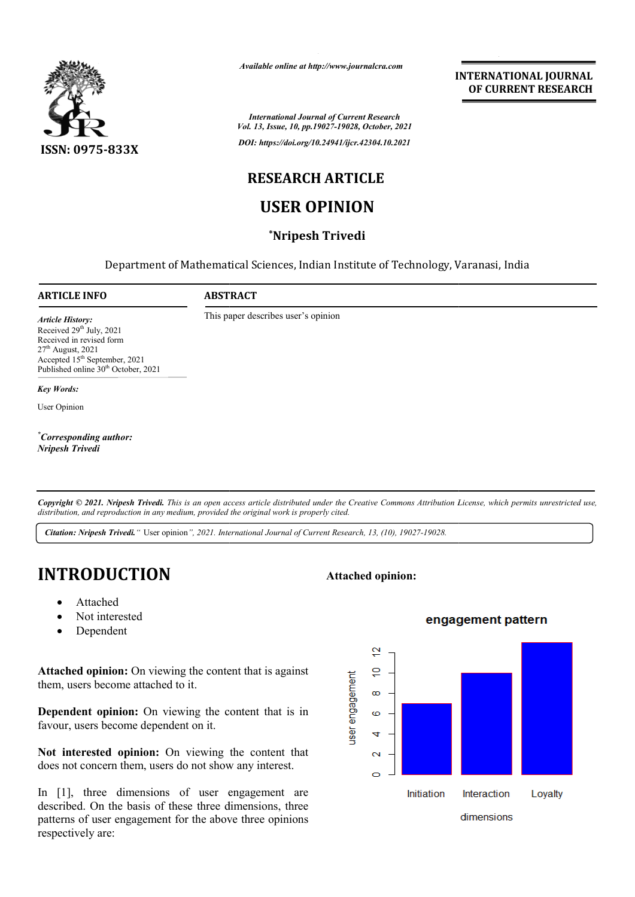

*Available online at http://www.journalcra.com*

*International Journal of Current Research Vol. 13, Issue, 10, pp.19027-19028, October, 2021 DOI: https://doi.org/10.24941/ijcr.42304.10.2021*

**INTERNATIONAL JOURNAL OF CURRENT RESEARCH**

# **RESEARCH ARTICLE**

# **USER OPINION**

### **\*Nripesh Trivedi**

Department of Mathematical Sciences, Indian Institute of Technology, Varanasi, India

#### **ARTICLE INFO ABSTRACT**

This paper describes user's opinion

*Article History: ArticleHistory:Article History:* Received 29<sup>th</sup> July, 2021 Received in revised form  $27<sup>th</sup>$  August, 2021 Accepted 15<sup>th</sup> September, 2021 Published online 30<sup>th</sup> October, 2021

*Key Words:*

User Opinion

*\* Corresponding author: Nripesh Trivedi*

Copyright © 2021. Nripesh Trivedi. This is an open access article distributed under the Creative Commons Attribution License, which permits unrestricted use, *distribution, and reproduction in any medium, provided the original work is properly cited.*

*Citation: Nripesh Trivedi."* User opinion*", 2021. International Journal of Current Research, 13, (10), 19027-19028.*

# **INTRODUCTION**

- Attached
- Not interested
- Dependent

**Attached opinion:** On viewing the content that is against them, users become attached to it.

**Dependent opinion:** On viewing the content that is in favour, users become dependent on it.

**Not interested opinion:** On viewing the content that does not concern them, users do not show any interest.

In [1], three dimensions of user engagement are described. On the basis of these three dimensions, three patterns of user engagement for the above three opinions respectively are:

# **Attached opinion:**<br>
Attached<br>
Not interested<br>
Dependent<br> **d opinion:** On viewing the content that is against<br>
ers become attached to it.<br> **ers** become attached to it.<br> **ers become dependent on it.**<br> **erested opinion:** On Interaction Loyalty dimensions

#### engagement pattern